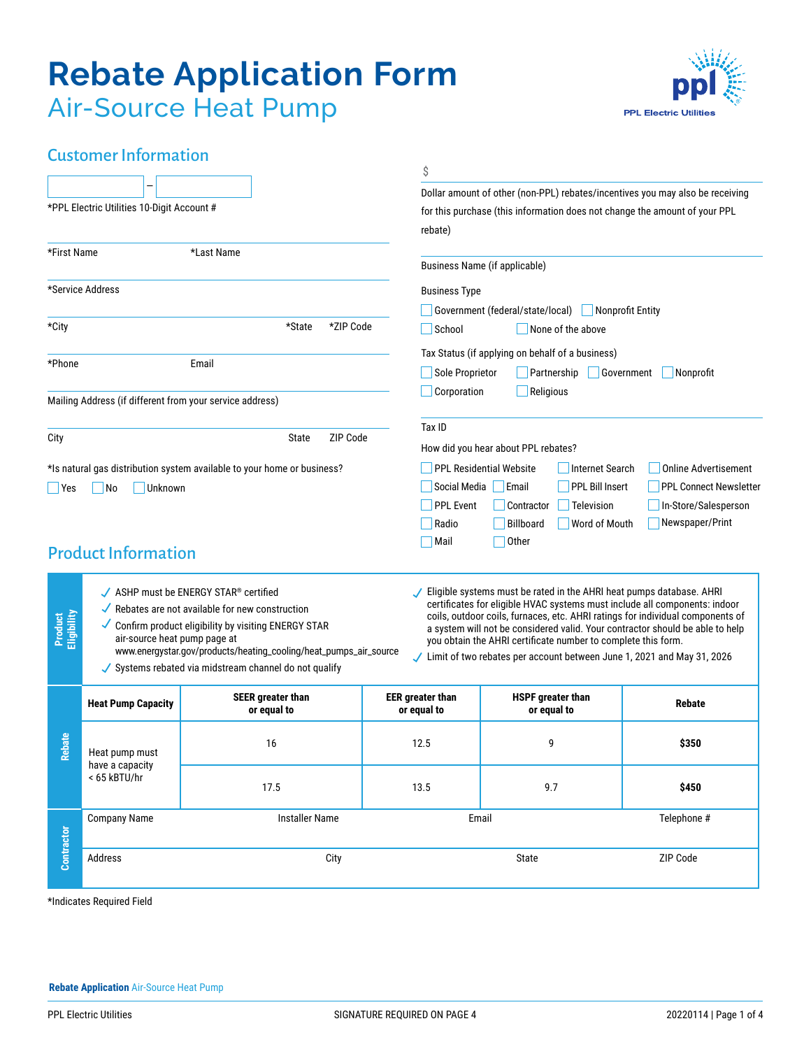# **Rebate Application Form** Air-Source Heat Pump



## Customer Information

|                        |                                                                                                                                                                                                                                                                                                                                                                                                                                                                                                                                                                                                                                                                                                                                                                                                      |                                                                         | \$                                     |                                                                                                                                                                                                                                                                                             |               |  |  |
|------------------------|------------------------------------------------------------------------------------------------------------------------------------------------------------------------------------------------------------------------------------------------------------------------------------------------------------------------------------------------------------------------------------------------------------------------------------------------------------------------------------------------------------------------------------------------------------------------------------------------------------------------------------------------------------------------------------------------------------------------------------------------------------------------------------------------------|-------------------------------------------------------------------------|----------------------------------------|---------------------------------------------------------------------------------------------------------------------------------------------------------------------------------------------------------------------------------------------------------------------------------------------|---------------|--|--|
|                        | *PPL Electric Utilities 10-Digit Account #                                                                                                                                                                                                                                                                                                                                                                                                                                                                                                                                                                                                                                                                                                                                                           |                                                                         | rebate)                                | Dollar amount of other (non-PPL) rebates/incentives you may also be receiving<br>for this purchase (this information does not change the amount of your PPL                                                                                                                                 |               |  |  |
| *First Name            |                                                                                                                                                                                                                                                                                                                                                                                                                                                                                                                                                                                                                                                                                                                                                                                                      | *Last Name                                                              |                                        | Business Name (if applicable)                                                                                                                                                                                                                                                               |               |  |  |
|                        | *Service Address                                                                                                                                                                                                                                                                                                                                                                                                                                                                                                                                                                                                                                                                                                                                                                                     |                                                                         |                                        | <b>Business Type</b><br>Government (federal/state/local)<br>Nonprofit Entity<br>School<br>None of the above<br>Tax Status (if applying on behalf of a business)<br>Sole Proprietor<br>Partnership<br>Government<br>Nonprofit<br>Corporation<br>Religious                                    |               |  |  |
| *City                  |                                                                                                                                                                                                                                                                                                                                                                                                                                                                                                                                                                                                                                                                                                                                                                                                      | *ZIP Code<br>*State                                                     |                                        |                                                                                                                                                                                                                                                                                             |               |  |  |
| *Phone                 |                                                                                                                                                                                                                                                                                                                                                                                                                                                                                                                                                                                                                                                                                                                                                                                                      | Email                                                                   |                                        |                                                                                                                                                                                                                                                                                             |               |  |  |
|                        |                                                                                                                                                                                                                                                                                                                                                                                                                                                                                                                                                                                                                                                                                                                                                                                                      | Mailing Address (if different from your service address)                |                                        |                                                                                                                                                                                                                                                                                             |               |  |  |
| City                   |                                                                                                                                                                                                                                                                                                                                                                                                                                                                                                                                                                                                                                                                                                                                                                                                      | ZIP Code<br>State                                                       | Tax ID                                 | How did you hear about PPL rebates?                                                                                                                                                                                                                                                         |               |  |  |
| Yes                    | Unknown<br>$\overline{\mathsf{No}}$<br><b>Product Information</b>                                                                                                                                                                                                                                                                                                                                                                                                                                                                                                                                                                                                                                                                                                                                    | *Is natural gas distribution system available to your home or business? | <b>PPL Event</b><br>Radio<br>Mail      | <b>Internet Search</b><br><b>PPL Residential Website</b><br><b>Online Advertisement</b><br>PPL Bill Insert<br>Social Media<br><b>PPL Connect Newsletter</b><br>  Email<br>Contractor<br>Television<br>In-Store/Salesperson<br>Newspaper/Print<br><b>Billboard</b><br>Word of Mouth<br>Other |               |  |  |
| Product<br>Eligibility | $\angle$ ASHP must be ENERGY STAR® certified<br>Eligible systems must be rated in the AHRI heat pumps database. AHRI<br>certificates for eligible HVAC systems must include all components: indoor<br>$\sqrt{\ }$ Rebates are not available for new construction<br>coils, outdoor coils, furnaces, etc. AHRI ratings for individual components of<br>Confirm product eligibility by visiting ENERGY STAR<br>a system will not be considered valid. Your contractor should be able to help<br>air-source heat pump page at<br>you obtain the AHRI certificate number to complete this form.<br>www.energystar.gov/products/heating_cooling/heat_pumps_air_source<br>Limit of two rebates per account between June 1, 2021 and May 31, 2026<br>✔ Systems rebated via midstream channel do not qualify |                                                                         |                                        |                                                                                                                                                                                                                                                                                             |               |  |  |
|                        | <b>Heat Pump Capacity</b>                                                                                                                                                                                                                                                                                                                                                                                                                                                                                                                                                                                                                                                                                                                                                                            | <b>SEER greater than</b><br>or equal to                                 | <b>EER</b> greater than<br>or equal to | <b>HSPF</b> greater than<br>or equal to                                                                                                                                                                                                                                                     | <b>Rebate</b> |  |  |
| <b>Rebate</b>          | Heat pump must<br>have a capacity<br>< 65 kBTU/hr                                                                                                                                                                                                                                                                                                                                                                                                                                                                                                                                                                                                                                                                                                                                                    | 16                                                                      | 12.5                                   | 9                                                                                                                                                                                                                                                                                           | \$350         |  |  |
|                        |                                                                                                                                                                                                                                                                                                                                                                                                                                                                                                                                                                                                                                                                                                                                                                                                      | 17.5                                                                    | 13.5                                   | 9.7                                                                                                                                                                                                                                                                                         | \$450         |  |  |
|                        | <b>Company Name</b><br><b>Installer Name</b>                                                                                                                                                                                                                                                                                                                                                                                                                                                                                                                                                                                                                                                                                                                                                         |                                                                         |                                        | Telephone #<br>Email                                                                                                                                                                                                                                                                        |               |  |  |
| Contractor             | Address                                                                                                                                                                                                                                                                                                                                                                                                                                                                                                                                                                                                                                                                                                                                                                                              | City                                                                    |                                        | State                                                                                                                                                                                                                                                                                       | ZIP Code      |  |  |

\*Indicates Required Field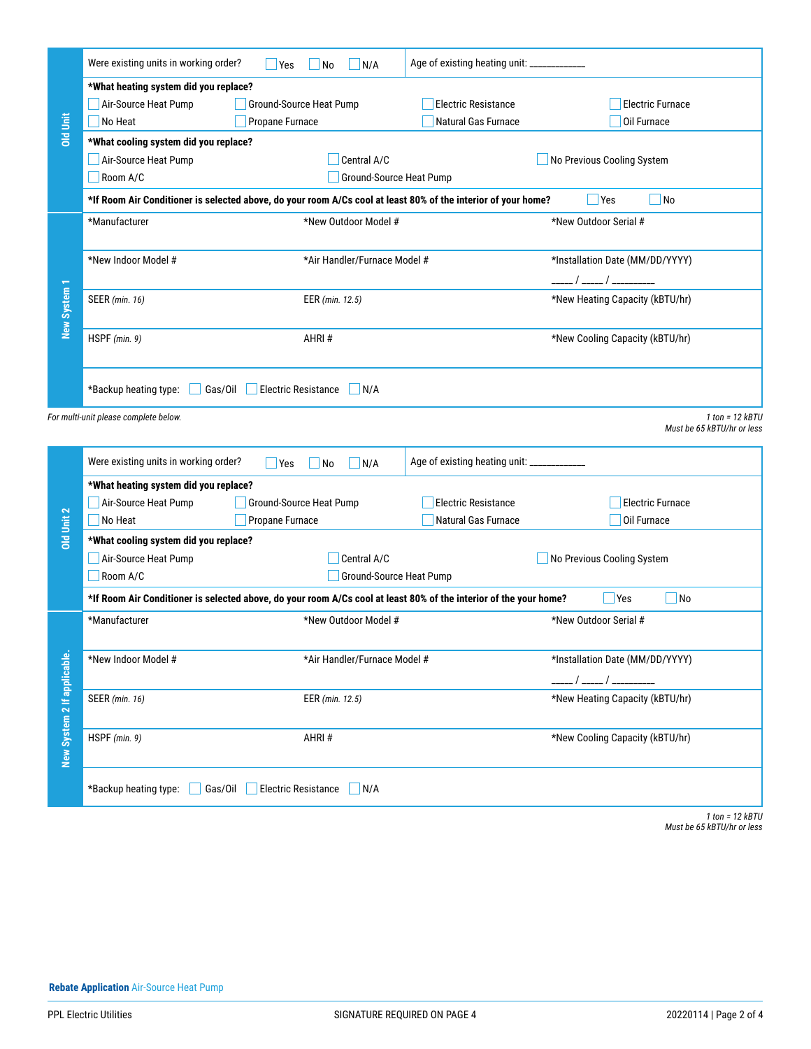|                             | Were existing units in working order?                                                                                                               | <b>Yes</b><br>No<br>N/A                | Age of existing heating unit: _____________ |                                 |  |  |  |
|-----------------------------|-----------------------------------------------------------------------------------------------------------------------------------------------------|----------------------------------------|---------------------------------------------|---------------------------------|--|--|--|
|                             | *What heating system did you replace?                                                                                                               |                                        |                                             |                                 |  |  |  |
|                             | Air-Source Heat Pump                                                                                                                                | Ground-Source Heat Pump                | <b>Electric Resistance</b>                  | <b>Electric Furnace</b>         |  |  |  |
| <b>Old Unit</b>             | No Heat                                                                                                                                             | Propane Furnace                        | Natural Gas Furnace                         | Oil Furnace                     |  |  |  |
|                             | *What cooling system did you replace?                                                                                                               |                                        |                                             |                                 |  |  |  |
|                             | Air-Source Heat Pump                                                                                                                                | Central A/C                            |                                             | No Previous Cooling System      |  |  |  |
|                             | Room A/C                                                                                                                                            |                                        |                                             |                                 |  |  |  |
|                             | *If Room Air Conditioner is selected above, do your room A/Cs cool at least 80% of the interior of your home?                                       |                                        | No<br><b>P</b> Yes                          |                                 |  |  |  |
|                             | *Manufacturer                                                                                                                                       | *New Outdoor Model #                   |                                             | *New Outdoor Serial #           |  |  |  |
|                             | *New Indoor Model #<br>*Air Handler/Furnace Model #                                                                                                 |                                        |                                             | *Installation Date (MM/DD/YYYY) |  |  |  |
|                             | EER (min. 12.5)                                                                                                                                     |                                        |                                             | _____/ _____/ _________         |  |  |  |
| New System 1                | <b>SEER</b> (min. 16)                                                                                                                               |                                        | *New Heating Capacity (kBTU/hr)             |                                 |  |  |  |
|                             | HSPF (min. 9)                                                                                                                                       | AHRI#                                  |                                             | *New Cooling Capacity (kBTU/hr) |  |  |  |
|                             | *Backup heating type:<br>Gas/Oil<br><b>Electric Resistance</b><br>$\bigcup$ N/A                                                                     |                                        |                                             |                                 |  |  |  |
|                             | For multi-unit please complete below.                                                                                                               |                                        |                                             | $1$ ton = $12$ kBTU             |  |  |  |
|                             |                                                                                                                                                     |                                        |                                             | Must be 65 kBTU/hr or less      |  |  |  |
|                             | Were existing units in working order?                                                                                                               | Yes<br>N/A<br>$\overline{\mathsf{No}}$ | Age of existing heating unit: ____________  |                                 |  |  |  |
|                             | *What heating system did you replace?                                                                                                               |                                        |                                             |                                 |  |  |  |
|                             | Air-Source Heat Pump                                                                                                                                | Ground-Source Heat Pump                | <b>Electric Resistance</b>                  | <b>Electric Furnace</b>         |  |  |  |
| Old Unit 2                  | No Heat                                                                                                                                             | Propane Furnace                        | Natural Gas Furnace                         | Oil Furnace                     |  |  |  |
|                             | *What cooling system did you replace?                                                                                                               |                                        |                                             |                                 |  |  |  |
|                             | Air-Source Heat Pump<br>Central A/C                                                                                                                 |                                        |                                             | No Previous Cooling System      |  |  |  |
|                             |                                                                                                                                                     | Room A/C<br>Ground-Source Heat Pump    |                                             |                                 |  |  |  |
|                             | *If Room Air Conditioner is selected above, do your room A/Cs cool at least 80% of the interior of the your home?<br>$\sqrt{\frac{1}{1}}$ No<br>Yes |                                        |                                             |                                 |  |  |  |
|                             |                                                                                                                                                     |                                        |                                             |                                 |  |  |  |
|                             | *Manufacturer                                                                                                                                       | *New Outdoor Model #                   |                                             | *New Outdoor Serial #           |  |  |  |
|                             |                                                                                                                                                     |                                        |                                             |                                 |  |  |  |
|                             | *New Indoor Model #                                                                                                                                 | *Air Handler/Furnace Model #           |                                             | *Installation Date (MM/DD/YYYY) |  |  |  |
|                             |                                                                                                                                                     |                                        |                                             |                                 |  |  |  |
|                             | <b>SEER</b> (min. 16)                                                                                                                               | EER (min. 12.5)                        |                                             | *New Heating Capacity (kBTU/hr) |  |  |  |
|                             | HSPF (min. 9)                                                                                                                                       | AHRI#                                  |                                             | *New Cooling Capacity (kBTU/hr) |  |  |  |
| New System 2 If applicable. |                                                                                                                                                     |                                        |                                             |                                 |  |  |  |
|                             | *Backup heating type:<br>Gas/Oil                                                                                                                    | <b>Electric Resistance</b><br>N/A      |                                             |                                 |  |  |  |
|                             |                                                                                                                                                     |                                        |                                             | $1$ ton = $12$ kBTU             |  |  |  |
|                             |                                                                                                                                                     |                                        |                                             | Must be 65 kBTU/hr or less      |  |  |  |
|                             |                                                                                                                                                     |                                        |                                             |                                 |  |  |  |
|                             |                                                                                                                                                     |                                        |                                             |                                 |  |  |  |
|                             |                                                                                                                                                     |                                        |                                             |                                 |  |  |  |
|                             |                                                                                                                                                     |                                        |                                             |                                 |  |  |  |
|                             |                                                                                                                                                     |                                        |                                             |                                 |  |  |  |
|                             |                                                                                                                                                     |                                        |                                             |                                 |  |  |  |
|                             |                                                                                                                                                     |                                        |                                             |                                 |  |  |  |
|                             | <b>Rebate Application Air-Source Heat Pump</b>                                                                                                      |                                        |                                             |                                 |  |  |  |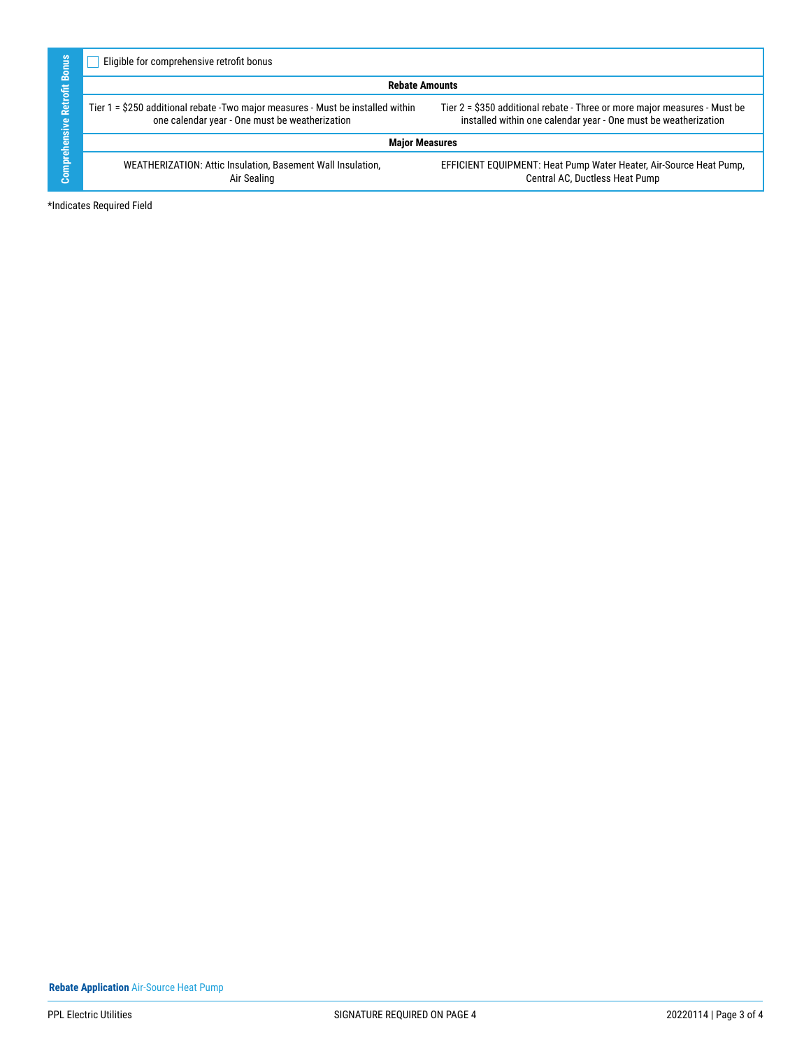| <b>Sillu</b><br>홂<br>둠<br>Retr<br>ত<br>듦<br>Comprehe | Eligible for comprehensive retrofit bonus                                                                                          |                                                                                                                                              |  |  |  |
|------------------------------------------------------|------------------------------------------------------------------------------------------------------------------------------------|----------------------------------------------------------------------------------------------------------------------------------------------|--|--|--|
|                                                      | <b>Rebate Amounts</b>                                                                                                              |                                                                                                                                              |  |  |  |
|                                                      | Tier 1 = \$250 additional rebate - Two major measures - Must be installed within<br>one calendar year - One must be weatherization | Tier 2 = \$350 additional rebate - Three or more major measures - Must be<br>installed within one calendar year - One must be weatherization |  |  |  |
|                                                      | <b>Major Measures</b>                                                                                                              |                                                                                                                                              |  |  |  |
|                                                      | WEATHERIZATION: Attic Insulation, Basement Wall Insulation,<br>Air Sealing                                                         | EFFICIENT EQUIPMENT: Heat Pump Water Heater, Air-Source Heat Pump,<br>Central AC, Ductless Heat Pump                                         |  |  |  |
|                                                      | *Indicates Required Field                                                                                                          |                                                                                                                                              |  |  |  |